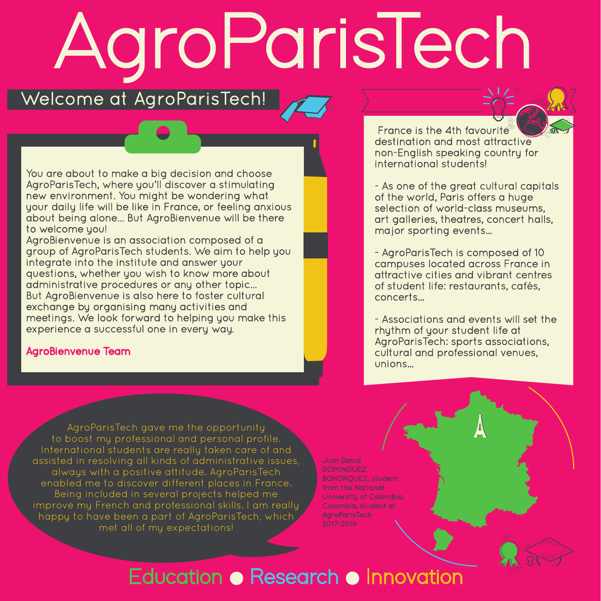# AgroParisTech

Welcome at AgroParisTech!

You are about to make a big decision and choose AgroParisTech, where you'll discover a stimulating new environment. You might be wondering what your daily life will be like in France, or feeling anxious about being alone... But AgroBienvenue will be there to welcome you!

AgroBienvenue is an association composed of a group of AgroParisTech students. We aim to help you integrate into the institute and answer your questions, whether you wish to know more about administrative procedures or any other topic... But AgroBienvenue is also here to foster cultural exchange by organising many activities and meetings. We look forward to helping you make this experience a successful one in every way.

### AgroBienvenue Team

France is the 4th favourite destination and most attractive non-English speaking country for international students!

- As one of the great cultural capitals of the world, Paris offers a huge selection of world-class museums, art galleries, theatres, concert halls, major sporting events…

- AgroParisTech is composed of 10 campuses located across France in attractive cities and vibrant centres of student life: restaurants, cafés, concerts…

- Associations and events will set the rhuthm of your student life at AgroParisTech: sports associations, cultural and professional venues, unions…

AgroParisTech gave me the opportunity to boost my professional and personal profile. International students are really taken care of and assisted in resolving all kinds of administrative issues, always with a positive attitude. AgroParisTech enabled me to discover different places in France. Being included in several projects helped me improve my French and professional skills. I am really happy to have been a part of AgroParisTech, which met all of my expectations!

Juan David **DOMINGUEZ** BOHORQUEZ, student from the National University of Colombia, Colombia, student at **AgroParisTech** 2017-2019

## Education • Research • Innovation